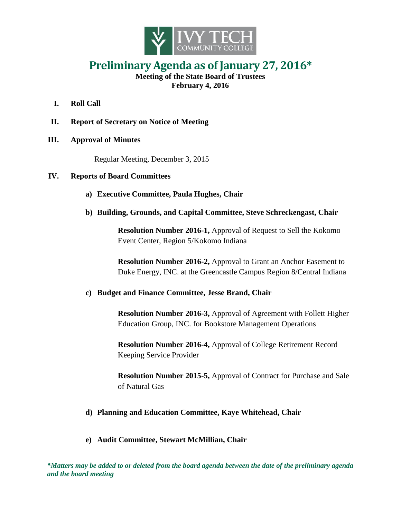

## **Preliminary Agenda as of January 27, 2016\***

**Meeting of the State Board of Trustees February 4, 2016**

- **I. Roll Call**
- **II. Report of Secretary on Notice of Meeting**
- **III. Approval of Minutes**

Regular Meeting, December 3, 2015

## **IV. Reports of Board Committees**

- **a) Executive Committee, Paula Hughes, Chair**
- **b) Building, Grounds, and Capital Committee, Steve Schreckengast, Chair**

**Resolution Number 2016-1,** Approval of Request to Sell the Kokomo Event Center, Region 5/Kokomo Indiana

**Resolution Number 2016-2,** Approval to Grant an Anchor Easement to Duke Energy, INC. at the Greencastle Campus Region 8/Central Indiana

## **c) Budget and Finance Committee, Jesse Brand, Chair**

**Resolution Number 2016-3,** Approval of Agreement with Follett Higher Education Group, INC. for Bookstore Management Operations

**Resolution Number 2016-4,** Approval of College Retirement Record Keeping Service Provider

**Resolution Number 2015-5,** Approval of Contract for Purchase and Sale of Natural Gas

## **d) Planning and Education Committee, Kaye Whitehead, Chair**

**e) Audit Committee, Stewart McMillian, Chair**

*\*Matters may be added to or deleted from the board agenda between the date of the preliminary agenda and the board meeting*